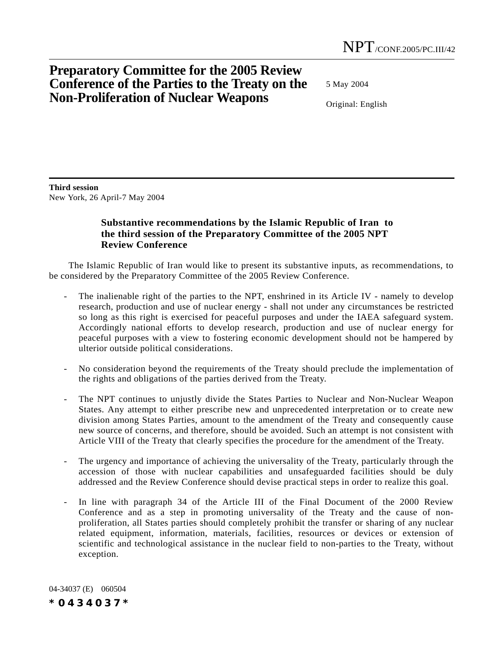## **Preparatory Committee for the 2005 Review Conference of the Parties to the Treaty on the Non-Proliferation of Nuclear Weapons**

5 May 2004

Original: English

**Third session** New York, 26 April-7 May 2004

## **Substantive recommendations by the Islamic Republic of Iran to the third session of the Preparatory Committee of the 2005 NPT Review Conference**

The Islamic Republic of Iran would like to present its substantive inputs, as recommendations, to be considered by the Preparatory Committee of the 2005 Review Conference.

- The inalienable right of the parties to the NPT, enshrined in its Article IV namely to develop research, production and use of nuclear energy - shall not under any circumstances be restricted so long as this right is exercised for peaceful purposes and under the IAEA safeguard system. Accordingly national efforts to develop research, production and use of nuclear energy for peaceful purposes with a view to fostering economic development should not be hampered by ulterior outside political considerations.
- No consideration beyond the requirements of the Treaty should preclude the implementation of the rights and obligations of the parties derived from the Treaty.
- The NPT continues to unjustly divide the States Parties to Nuclear and Non-Nuclear Weapon States. Any attempt to either prescribe new and unprecedented interpretation or to create new division among States Parties, amount to the amendment of the Treaty and consequently cause new source of concerns, and therefore, should be avoided. Such an attempt is not consistent with Article VIII of the Treaty that clearly specifies the procedure for the amendment of the Treaty.
- The urgency and importance of achieving the universality of the Treaty, particularly through the accession of those with nuclear capabilities and unsafeguarded facilities should be duly addressed and the Review Conference should devise practical steps in order to realize this goal.
- In line with paragraph 34 of the Article III of the Final Document of the 2000 Review Conference and as a step in promoting universality of the Treaty and the cause of nonproliferation, all States parties should completely prohibit the transfer or sharing of any nuclear related equipment, information, materials, facilities, resources or devices or extension of scientific and technological assistance in the nuclear field to non-parties to the Treaty, without exception.

04-34037 (E) 060504 *\*0434037\**